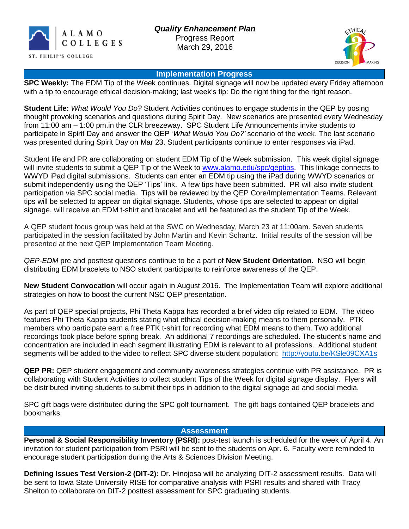



#### **Implementation Progress**

**SPC Weekly:** The EDM Tip of the Week continues. Digital signage will now be updated every Friday afternoon with a tip to encourage ethical decision-making; last week's tip: Do the right thing for the right reason.

**Student Life:** *What Would You Do?* Student Activities continues to engage students in the QEP by posing thought provoking scenarios and questions during Spirit Day. New scenarios are presented every Wednesday from 11:00 am – 1:00 pm.in the CLR breezeway. SPC Student Life Announcements invite students to participate in Spirit Day and answer the QEP '*What Would You Do?'* scenario of the week. The last scenario was presented during Spirit Day on Mar 23. Student participants continue to enter responses via iPad.

Student life and PR are collaborating on student EDM Tip of the Week submission. This week digital signage will invite students to submit a QEP Tip of the Week to [www.alamo.edu/spc/qeptips.](http://www.alamo.edu/spc/qeptips) This linkage connects to WWYD iPad digital submissions. Students can enter an EDM tip using the iPad during WWYD scenarios or submit independently using the QEP 'Tips' link. A few tips have been submitted. PR will also invite student participation via SPC social media. Tips will be reviewed by the QEP Core/Implementation Teams. Relevant tips will be selected to appear on digital signage. Students, whose tips are selected to appear on digital signage, will receive an EDM t-shirt and bracelet and will be featured as the student Tip of the Week.

A QEP student focus group was held at the SWC on Wednesday, March 23 at 11:00am. Seven students participated in the session facilitated by John Martin and Kevin Schantz. Initial results of the session will be presented at the next QEP Implementation Team Meeting.

*QEP-EDM* pre and posttest questions continue to be a part of **New Student Orientation.** NSO will begin distributing EDM bracelets to NSO student participants to reinforce awareness of the QEP.

**New Student Convocation** will occur again in August 2016. The Implementation Team will explore additional strategies on how to boost the current NSC QEP presentation.

As part of QEP special projects, Phi Theta Kappa has recorded a brief video clip related to EDM. The video features Phi Theta Kappa students stating what ethical decision-making means to them personally. PTK members who participate earn a free PTK t-shirt for recording what EDM means to them. Two additional recordings took place before spring break. An additional 7 recordings are scheduled. The student's name and concentration are included in each segment illustrating EDM is relevant to all professions. Additional student segments will be added to the video to reflect SPC diverse student population: [http://youtu.be/KSle09CXA1s](https://mail.alamo.edu/owa/redir.aspx?SURL=p2ZM6wsW2sCf6wYSaWExwGB2JcK3h2bA6QKifJtCC6F4C20DCT7TCGgAdAB0AHAAOgAvAC8AeQBvAHUAdAB1AC4AYgBlAC8ASwBTAGwAZQAwADkAQwBYAEEAMQBzAA..&URL=http%3a%2f%2fyoutu.be%2fKSle09CXA1s)

**QEP PR:** QEP student engagement and community awareness strategies continue with PR assistance. PR is collaborating with Student Activities to collect student Tips of the Week for digital signage display. Flyers will be distributed inviting students to submit their tips in addition to the digital signage ad and social media.

SPC gift bags were distributed during the SPC golf tournament. The gift bags contained QEP bracelets and bookmarks.

#### **Assessment**

**Personal & Social Responsibility Inventory (PSRI):** post-test launch is scheduled for the week of April 4. An invitation for student participation from PSRI will be sent to the students on Apr. 6. Faculty were reminded to encourage student participation during the Arts & Sciences Division Meeting.

**Defining Issues Test Version-2 (DIT-2):** Dr. Hinojosa will be analyzing DIT-2 assessment results. Data will be sent to Iowa State University RISE for comparative analysis with PSRI results and shared with Tracy Shelton to collaborate on DIT-2 posttest assessment for SPC graduating students.